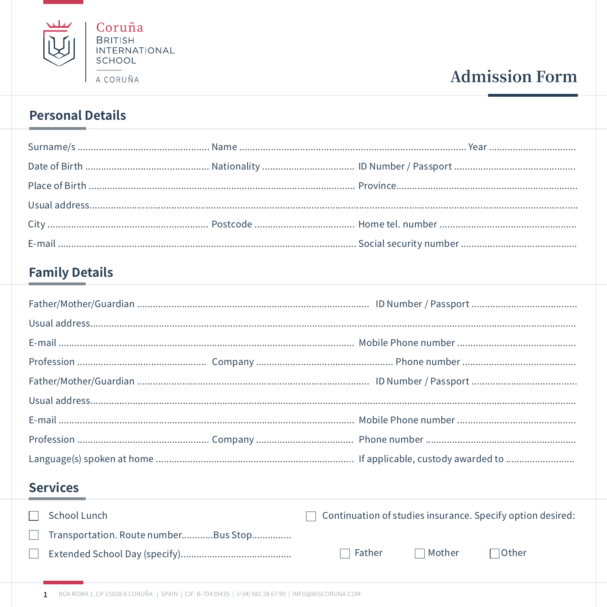

# **Admission Form**

### **Personal Details**

 $\sim$ 

### **Family Details**

## **Services**

|              | $\Box$ School Lunch                  |               |               | $\Box$ Continuation of studies insurance. Specify option desired: |
|--------------|--------------------------------------|---------------|---------------|-------------------------------------------------------------------|
| $\mathbf{1}$ | Transportation. Route numberBus Stop |               |               |                                                                   |
|              |                                      | $\Box$ Father | $\Box$ Mother | $\lnot$ Other                                                     |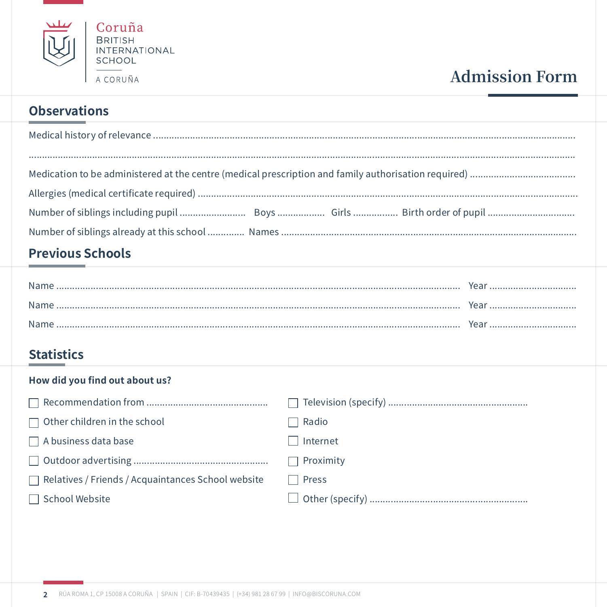

# **Admission Form**

### **Observations**

### **Previous Schools**

| Name | Year |
|------|------|
|      |      |
| Name | Year |
|      |      |
| Name | Year |

### **Statistics**

### How did you find out about us?

| $\Box$ Other children in the school                       | Radio                 |
|-----------------------------------------------------------|-----------------------|
| $\Box$ A business data base                               | Internet              |
|                                                           | $\Box$ Proximity      |
| $\Box$ Relatives / Friends / Acquaintances School website | Press<br>$\mathbf{I}$ |
| School Website                                            |                       |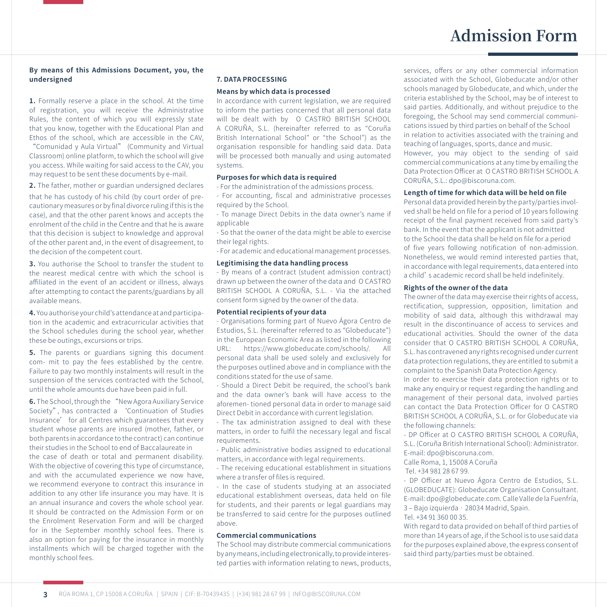#### **By means of this Admissions Document, you, the undersigned**

**1.** Formally reserve a place in the school. At the time of registration, you will receive the Administrative Rules, the content of which you will expressly state that you know, together with the Educational Plan and Ethos of the school, which are accessible in the CAV,

"Comunidad y Aula Virtual" (Community and Virtual Classroom) online platform, to which the school will give you access. While waiting for said access to the CAV, you may request to be sent these documents by e-mail.

**2.** The father, mother or guardian undersigned declares

that he has custody of his child (by court order of precautionary measures or by final divorce ruling if this is the case), and that the other parent knows and accepts the enrolment of the child in the Centre and that he is aware that this decision is subject to knowledge and approval of the other parent and, in the event of disagreement, to the decision of the competent court.

**3.** You authorise the School to transfer the student to the nearest medical centre with which the school is affiliated in the event of an accident or illness, always after attempting to contact the parents/guardians by all available means.

**4.** You authorise your child's attendance at and participation in the academic and extracurricular activities that the School schedules during the school year, whether these be outings, excursions or trips.

**5.** The parents or guardians signing this document com- mit to pay the fees established by the centre. Failure to pay two monthly instalments will result in the suspension of the services contracted with the School, until the whole amounts due have been paid in full.

**6.** The School, through the "New Agora Auxiliary Service Society", has contracted a 'Continuation of Studies Insurance' for all Centres which guarantees that every student whose parents are insured (mother, father, or both parents in accordance to the contract) can continue their studies in the School to end of Baccalaureate in the case of death or total and permanent disability. With the objective of covering this type of circumstance, and with the accumulated experience we now have, we recommend everyone to contract this insurance in addition to any other life insurance you may have. It is an annual insurance and covers the whole school year. It should be contracted on the Admission Form or on the Enrolment Reservation Form and will be charged for in the September monthly school fees. There is also an option for paying for the insurance in monthly installments which will be charged together with the monthly school fees.

#### **7. DATA PROCESSING**

#### **Means by which data is processed**

In accordance with current legislation, we are required to inform the parties concerned that all personal data will be dealt with by O CASTRO BRITISH SCHOOL A CORUÑA, S.L. (hereinafter referred to as "Coruña British International School" or "the School") as the organisation responsible for handling said data. Data will be processed both manually and using automated systems.

#### **Purposes for which data is required**

- For the administration of the admissions process.

- For accounting, fiscal and administrative processes required by the School.

- To manage Direct Debits in the data owner's name if applicable

- So that the owner of the data might be able to exercise their legal rights.

- For academic and educational management processes.

#### **Legitimising the data handling process**

- By means of a contract (student admission contract) drawn up between the owner of the data and O CASTRO BRITISH SCHOOL A CORUÑA, S.L. - Via the attached consent form signed by the owner of the data.

#### **Potential recipients of your data**

- Organisations forming part of Nuevo Ágora Centro de Estudios, S.L. (hereinafter referred to as "Globeducate") in the European Economic Area as listed in the following<br>LIRL: https://www.globeducate.com/schools/ All  $URI:$  https://www.globeducate.com/schools/ personal data shall be used solely and exclusively for the purposes outlined above and in compliance with the conditions stated for the use of same.

- Should a Direct Debit be required, the school's bank and the data owner's bank will have access to the aforemen- tioned personal data in order to manage said Direct Debit in accordance with current legislation.

- The tax administration assigned to deal with these matters, in order to fulfil the necessary legal and fiscal requirements.

- Public administrative bodies assigned to educational matters, in accordance with legal requirements.

- The receiving educational establishment in situations where a transfer of files is required.

- In the case of students studying at an associated educational establishment overseas, data held on file for students, and their parents or legal guardians may be transferred to said centre for the purposes outlined above.

#### **Commercial communications**

The School may distribute commercial communications by any means, including electronically, to provide interested parties with information relating to news, products, services, offers or any other commercial information associated with the School, Globeducate and/or other schools managed by Globeducate, and which, under the criteria established by the School, may be of interest to said parties. Additionally, and without prejudice to the foregoing, the School may send commercial communications issued by third parties on behalf of the School in relation to activities associated with the training and teaching of languages, sports, dance and music. However, you may object to the sending of said commercial communications at any time by emailing the Data Protection Officer at O CASTRO BRITISH SCHOOL A CORUÑA, S.L.: dpo@biscoruna.com.

#### **Length of time for which data will be held on file**

Personal data provided herein by the party/parties involved shall be held on file for a period of 10 years following receipt of the final payment received from said party's bank. In the event that the applicant is not admitted to the School the data shall be held on file for a period of five years following notification of non-admission. Nonetheless, we would remind interested parties that, in accordance with legal requirements, data entered into a child's academic record shall be held indefinitely.

#### **Rights of the owner of the data**

The owner of the data may exercise their rights of access, rectification, suppression, opposition, limitation and mobility of said data, although this withdrawal may result in the discontinuance of access to services and educational activities. Should the owner of the data consider that O CASTRO BRITISH SCHOOL A CORUÑA, S.L. has contravened any rights recognised under current data protection regulations, they are entitled to submit a complaint to the Spanish Data Protection Agency.

In order to exercise their data protection rights or to make any enquiry or request regarding the handling and management of their personal data, involved parties can contact the Data Protection Officer for O CASTRO BRITISH SCHOOL A CORUÑA, S.L. or for Globeducate via the following channels:

- DP Officer at O CASTRO BRITISH SCHOOL A CORUÑA, S.L. (Coruña British International School): Administrator. E-mail: dpo@biscoruna.com.

Calle Roma, 1, 15008 A Coruña

Tel. +34 981 28 67 99.

- DP Officer at Nuevo Ágora Centro de Estudios, S.L. (GLOBEDUCATE): Globeducate Organisation Consultant. E-mail: dpo@globeducate.com. Calle Valle de la Fuenfría, 3 – Bajo izquierda · 28034 Madrid, Spain. Tel. +34 91 360 00 35.

With regard to data provided on behalf of third parties of more than 14 years of age, if the School is to use said data for the purposes explained above, the express consent of said third party/parties must be obtained.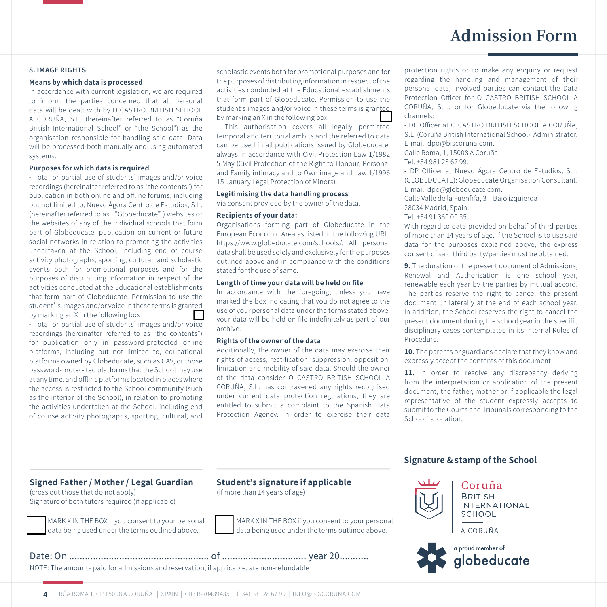## **Admission Form**

#### **8. IMAGE RIGHTS**

#### **Means by which data is processed**

In accordance with current legislation, we are required to inform the parties concerned that all personal data will be dealt with by O CASTRO BRITISH SCHOOL A CORUÑA, S.L. (hereinafter referred to as "Coruña British International School" or "the School") as the organisation responsible for handling said data. Data will be processed both manually and using automated systems.

#### **Purposes for which data is required**

**-** Total or partial use of students' images and/or voice recordings (hereinafter referred to as "the contents") for publication in both online and offline forums, including but not limited to, Nuevo Ágora Centro de Estudios, S.L. (hereinafter referred to as "Globeducate") websites or the websites of any of the individual schools that form part of Globeducate, publication on current or future social networks in relation to promoting the activities undertaken at the School, including end of course activity photographs, sporting, cultural, and scholastic events both for promotional purposes and for the purposes of distributing information in respect of the activities conducted at the Educational establishments that form part of Globeducate. Permission to use the student's images and/or voice in these terms is granted by marking an X in the following box

**-** Total or partial use of students' images and/or voice recordings (hereinafter referred to as "the contents") for publication only in password-protected online platforms, including but not limited to, educational platforms owned by Globeducate, such as CAV, or those password-protec- ted platforms that the School may use at any time, and offline platforms located in places where the access is restricted to the School community (such as the interior of the School), in relation to promoting the activities undertaken at the School, including end of course activity photographs, sporting, cultural, and scholastic events both for promotional purposes and for the purposes of distributing information in respect of the activities conducted at the Educational establishments that form part of Globeducate. Permission to use the student's images and/or voice in these terms is granted by marking an X in the following box

- This authorisation covers all legally permitted temporal and territorial ambits and the referred to data can be used in all publications issued by Globeducate, always in accordance with Civil Protection Law 1/1982 5 May (Civil Protection of the Right to Honour, Personal and Family intimacy and to Own image and Law 1/1996 15 January Legal Protection of Minors).

#### **Legitimising the data handling process**

Via consent provided by the owner of the data.

#### **Recipients of your data:**

Organisations forming part of Globeducate in the European Economic Area as listed in the following URL: https://www.globeducate.com/schools/. All personal data shall be used solely and exclusively for the purposes outlined above and in compliance with the conditions stated for the use of same.

#### **Length of time your data will be held on file**

In accordance with the foregoing, unless you have marked the box indicating that you do not agree to the use of your personal data under the terms stated above, your data will be held on file indefinitely as part of our archive.

#### **Rights of the owner of the data**

Additionally, the owner of the data may exercise their rights of access, rectification, suppression, opposition, limitation and mobility of said data. Should the owner of the data consider O CASTRO BRITISH SCHOOL A CORUÑA, S.L. has contravened any rights recognised under current data protection regulations, they are entitled to submit a complaint to the Spanish Data Protection Agency. In order to exercise their data protection rights or to make any enquiry or request regarding the handling and management of their personal data, involved parties can contact the Data Protection Officer for O CASTRO BRITISH SCHOOL A CORUÑA, S.L., or for Globeducate via the following channels:

- DP Officer at O CASTRO BRITISH SCHOOL A CORUÑA, S.L. (Coruña British International School): Administrator. E-mail: dpo@biscoruna.com.

Calle Roma, 1, 15008 A Coruña Tel. +34 981 28 67 99.

**-** DP Officer at Nuevo Ágora Centro de Estudios, S.L. (GLOBEDUCATE): Globeducate Organisation Consultant. E-mail: dpo@globeducate.com.

Calle Valle de la Fuenfría, 3 – Bajo izquierda

28034 Madrid, Spain.

#### Tel. +34 91 360 00 35.

With regard to data provided on behalf of third parties of more than 14 years of age, if the School is to use said data for the purposes explained above, the express consent of said third party/parties must be obtained.

**9.** The duration of the present document of Admissions, Renewal and Authorisation is one school year, renewable each year by the parties by mutual accord. The parties reserve the right to cancel the present document unilaterally at the end of each school year. In addition, the School reserves the right to cancel the present document during the school year in the specific disciplinary cases contemplated in its Internal Rules of Procedure.

**10.** The parents or guardians declare that they know and expressly accept the contents of this document.

11. In order to resolve any discrepancy deriving from the interpretation or application of the present document, the father, mother or if applicable the legal representative of the student expressly accepts to submit to the Courts and Tribunals corresponding to the School's location.

#### **Signed Father / Mother / Legal Guardian**

(cross out those that do not apply) Signature of both tutors required (if applicable)



MARK X IN THE BOX if you consent to your personal data being used under the terms outlined above.

(if more than 14 years of age)

**Student's signature if applicable**

MARK X IN THE BOX if you consent to your personal data being used under the terms outlined above.

Date: On ..................................................... of ................................ year 20........... NOTE: The amounts paid for admissions and reservation, if applicable, are non-refundable

#### **Signature & stamp of the School**



Coruña **BRITISH INTERNATIONAL SCHOOL** 

A CORUÑA

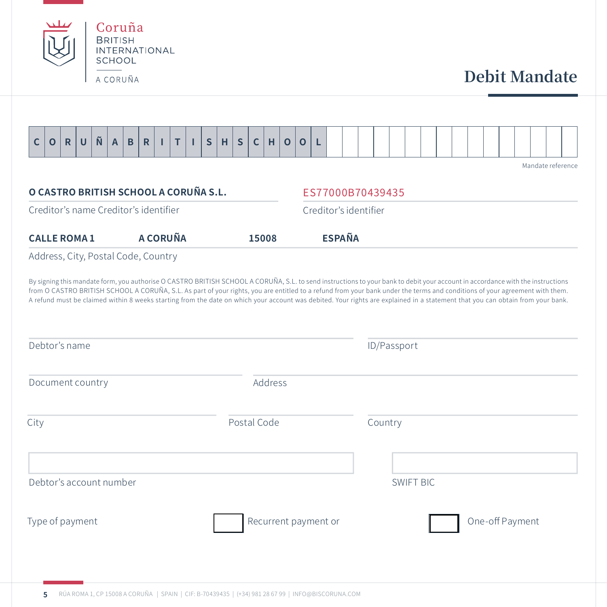

Debtor's account number

Type of payment and recurrent payment or a set of payment or  $\Box$  One-off Payment

SWIFT BIC